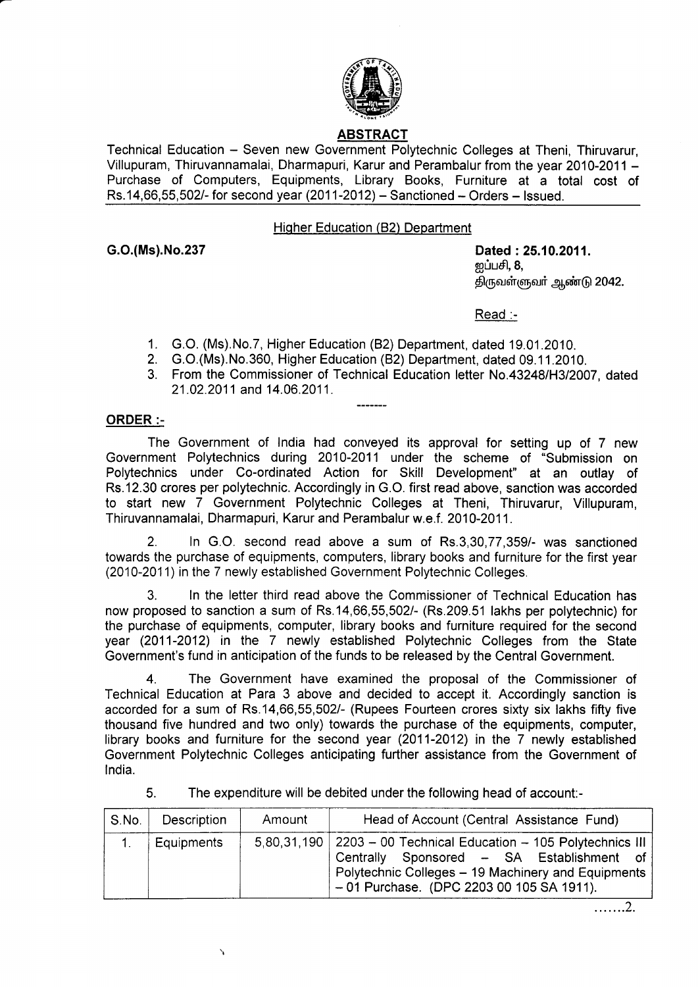

# ABSTRACT

Technical Education - Seven new Government Polytechnic Colleges at Theni, Thiruvarur, Villupuram, Thiruvannamalai, Dharmapuri, Karur and Perambalur from the year 2010-2011 - Purchase of Computers, Equipments, Library Books, Furniture at a total cost of  $Rs.14,66,55,502/$ - for second year  $(2011-2012)$  – Sanctioned – Orders – Issued.

## Higher Education (B2) Department

G.O.(Ms).No.237 Dated :25.10.2011. றப்பசி, **8**, திருவள்ளுவர் ஆண்டு 2042.

Read :-

- 1. G.O. (Ms).No.7, Higher Education (82) Department, dated 19.01.2010.
- 2. G.O.(Ms).No.360, Higher Education (82) Department, dated 09.11.2010.
- 3. From the Commissioner of Technical Education letter No.43248/H3/2007, dated 21.02.2011 and 14.06.2011.

## ORDER:-

The Government of India had conveyed its approval for setting up of 7 new Government Polytechnics during 2010-2011 under the scheme of "Submission on Polytechnics under Co-ordinated Action for Skill Development" at an outlay of Rs.12.30 crores per polytechnic. Accordingly in G.O. first read above, sanction was accorded to start new 7 Government Polytechnic Colleges at Theni, Thiruvarur, Villupuram, Thiruvannamalai, Dharmapuri, Karur and Perambalur w.e.f. 2010-2011.

2. ln G.O. second read above a sum of Rs.3,30,77,3591- was sanctioned towards the purchase of equipments, computers, library books and furniture for the first year (2010-2011) in the 7 newly established Government Polytechnic Colleges.

3. In the letter third read above the Commissioner of Technical Education has now proposed to sanction a sum of Rs.14,66,55,502/- (Rs.209.51 lakhs per polytechnic) for the purchase of equipments, computer, library books and furniture required for the second year (2011-2012) in the 7 newly established Polytechnic Colleges from the State Government's fund in anticipation of the funds to be released by the Central Government.

The Government have examined the proposal of the Commissioner of Technical Education at Para 3 above and decided to accept it. Accordingly sanction is accorded for a sum of Rs.14,66,55,5021- (Rupees Fourteen crores sixty six lakhs fifty five thousand five hundred and two only) towards the purchase of the equipments, computer, library books and furniture for the second year (2011-2012) in the 7 newly established Government Polytechnic Colleges anticipating further assistance from the Government of lndia.

5. The expenditure will be debited under the following head of account:-

| S.No. | Description | Amount | Head of Account (Central Assistance Fund)                                                                                                                                                                            |
|-------|-------------|--------|----------------------------------------------------------------------------------------------------------------------------------------------------------------------------------------------------------------------|
|       | Equipments  |        | $5,80,31,190$   2203 - 00 Technical Education - 105 Polytechnics III<br>Centrally Sponsored - SA Establishment of<br>Polytechnic Colleges - 19 Machinery and Equipments<br>- 01 Purchase. (DPC 2203 00 105 SA 1911). |

.......2.